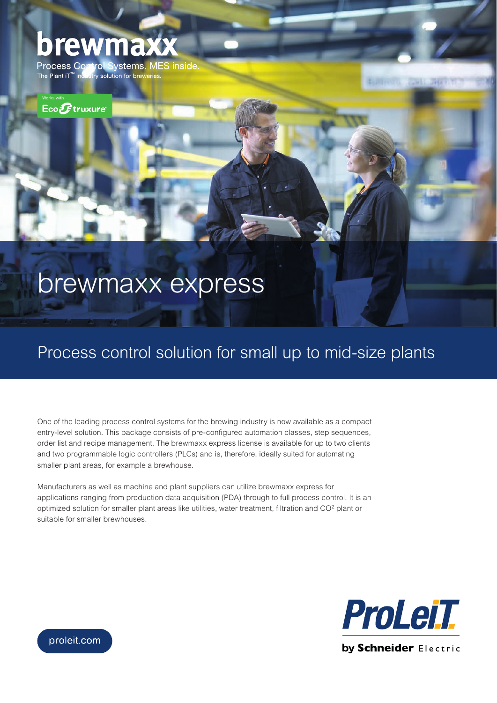## brewma

rol Systems. MES inside **Process Co** The Plant iT<sup>™</sup> industry solution for breweries.

 $Eco$  $E$ truxure

# brewmaxx express

### Process control solution for small up to mid-size plants

One of the leading process control systems for the brewing industry is now available as a compact entry-level solution. This package consists of pre-configured automation classes, step sequences, order list and recipe management. The brewmaxx express license is available for up to two clients and two programmable logic controllers (PLCs) and is, therefore, ideally suited for automating smaller plant areas, for example a brewhouse.

Manufacturers as well as machine and plant suppliers can utilize brewmaxx express for applications ranging from production data acquisition (PDA) through to full process control. It is an optimized solution for smaller plant areas like utilities, water treatment, filtration and  $CO<sup>2</sup>$  plant or suitable for smaller brewhouses.



**SHOP**